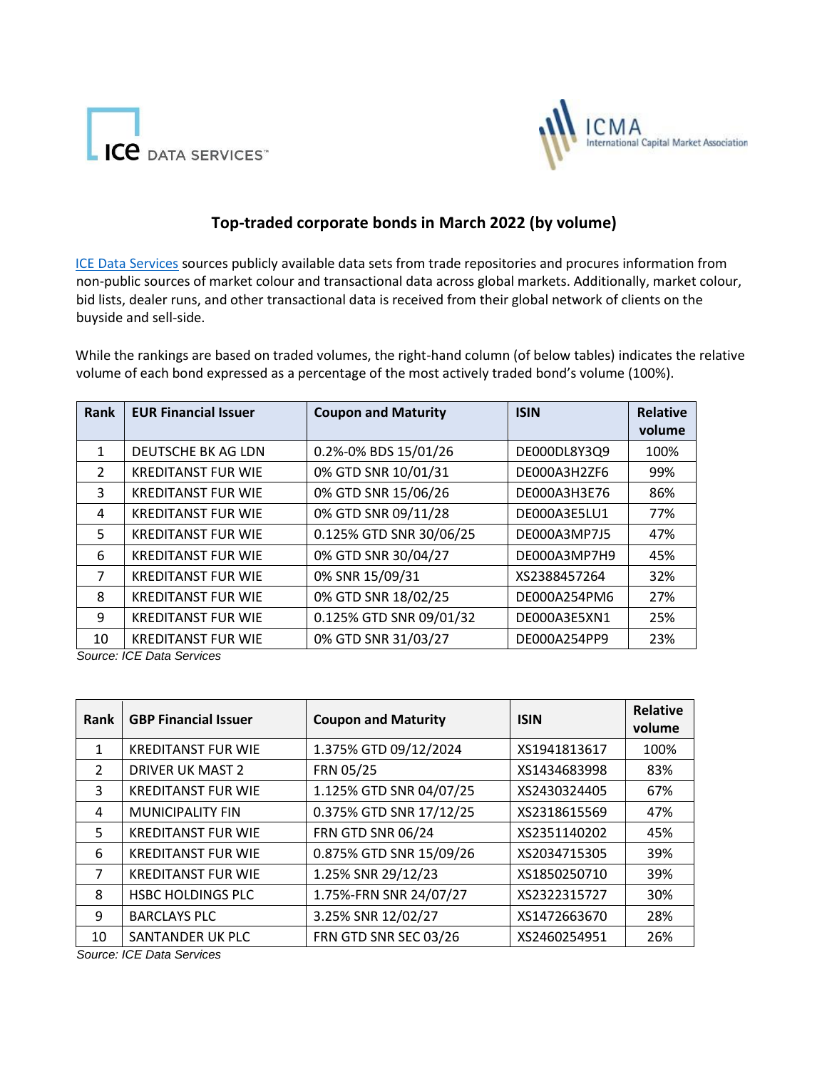



## **Top-traded corporate bonds in March 2022 (by volume)**

[ICE Data Services](https://www.theice.com/market-data) [s](https://www.theice.com/market-data)ources publicly available data sets from trade repositories and procures information from non-public sources of market colour and transactional data across global markets. Additionally, market colour, bid lists, dealer runs, and other transactional data is received from their global network of clients on the buyside and sell-side.

While the rankings are based on traded volumes, the right-hand column (of below tables) indicates the relative volume of each bond expressed as a percentage of the most actively traded bond's volume (100%).

| Rank          | <b>EUR Financial Issuer</b> | <b>Coupon and Maturity</b> | <b>ISIN</b>  | <b>Relative</b> |
|---------------|-----------------------------|----------------------------|--------------|-----------------|
|               |                             |                            |              | volume          |
| 1             | DEUTSCHE BK AG LDN          | 0.2%-0% BDS 15/01/26       | DE000DL8Y3Q9 | 100%            |
| $\mathcal{L}$ | <b>KREDITANST FUR WIE</b>   | 0% GTD SNR 10/01/31        | DE000A3H2ZF6 | 99%             |
| 3             | <b>KREDITANST FUR WIE</b>   | 0% GTD SNR 15/06/26        | DE000A3H3E76 | 86%             |
| 4             | <b>KREDITANST FUR WIE</b>   | 0% GTD SNR 09/11/28        | DE000A3E5LU1 | 77%             |
| 5             | <b>KREDITANST FUR WIE</b>   | 0.125% GTD SNR 30/06/25    | DE000A3MP7J5 | 47%             |
| 6             | <b>KREDITANST FUR WIE</b>   | 0% GTD SNR 30/04/27        | DE000A3MP7H9 | 45%             |
| 7             | <b>KREDITANST FUR WIE</b>   | 0% SNR 15/09/31            | XS2388457264 | 32%             |
| 8             | <b>KREDITANST FUR WIE</b>   | 0% GTD SNR 18/02/25        | DE000A254PM6 | 27%             |
| 9             | <b>KREDITANST FUR WIE</b>   | 0.125% GTD SNR 09/01/32    | DE000A3E5XN1 | 25%             |
| 10            | <b>KREDITANST FUR WIE</b>   | 0% GTD SNR 31/03/27        | DE000A254PP9 | 23%             |

*Source: ICE Data Services*

| Rank           | <b>GBP Financial Issuer</b> | <b>Coupon and Maturity</b> | <b>ISIN</b>  | <b>Relative</b><br>volume |
|----------------|-----------------------------|----------------------------|--------------|---------------------------|
| 1              | <b>KREDITANST FUR WIE</b>   | 1.375% GTD 09/12/2024      | XS1941813617 | 100%                      |
| $\mathcal{L}$  | <b>DRIVER UK MAST 2</b>     | FRN 05/25                  | XS1434683998 | 83%                       |
| 3              | <b>KREDITANST FUR WIE</b>   | 1.125% GTD SNR 04/07/25    | XS2430324405 | 67%                       |
| 4              | <b>MUNICIPALITY FIN</b>     | 0.375% GTD SNR 17/12/25    | XS2318615569 | 47%                       |
| 5.             | <b>KREDITANST FUR WIE</b>   | <b>FRN GTD SNR 06/24</b>   | XS2351140202 | 45%                       |
| 6              | <b>KREDITANST FUR WIE</b>   | 0.875% GTD SNR 15/09/26    | XS2034715305 | 39%                       |
| $\overline{7}$ | <b>KREDITANST FUR WIE</b>   | 1.25% SNR 29/12/23         | XS1850250710 | 39%                       |
| 8              | <b>HSBC HOLDINGS PLC</b>    | 1.75%-FRN SNR 24/07/27     | XS2322315727 | 30%                       |
| 9              | <b>BARCLAYS PLC</b>         | 3.25% SNR 12/02/27         | XS1472663670 | 28%                       |
| 10             | SANTANDER UK PLC            | FRN GTD SNR SEC 03/26      | XS2460254951 | 26%                       |

*Source: ICE Data Services*